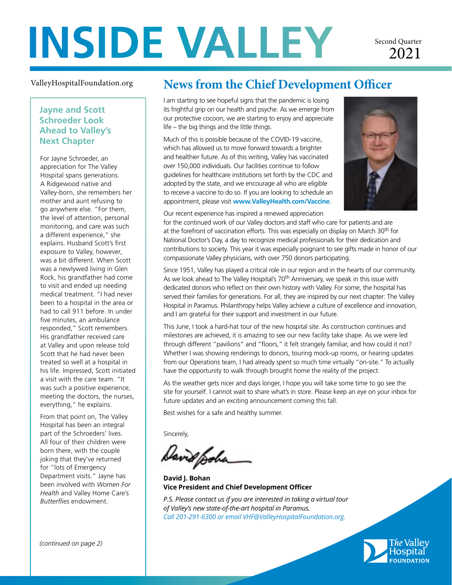# **INSIDE VALLEY**

Second Quarter 2021

#### ValleyHospitalFoundation.org

## **Jayne and Scott Schroeder Look Ahead to Valley's Next Chapter**

For Jayne Schroeder, an appreciation for The Valley Hospital spans generations. A Ridgewood native and Valley-born, she remembers her mother and aunt refusing to go anywhere else. "For them, the level of attention, personal monitoring, and care was such a different experience," she explains. Husband Scott's first exposure to Valley, however, was a bit different. When Scott was a newlywed living in Glen Rock, his grandfather had come to visit and ended up needing medical treatment. "I had never been to a hospital in the area or had to call 911 before. In under five minutes, an ambulance responded," Scott remembers. His grandfather received care at Valley and upon release told Scott that he had never been treated so well at a hospital in his life. Impressed, Scott initiated a visit with the care team. "It was such a positive experience, meeting the doctors, the nurses, everything," he explains.

From that point on, The Valley Hospital has been an integral part of the Schroeders' lives. All four of their children were born there, with the couple joking that they've returned for "lots of Emergency Department visits." Jayne has been involved with *Women For Health* and Valley Home Care's *Butterflies* endowment.

# **News from the Chief Development Officer**

I am starting to see hopeful signs that the pandemic is losing its frightful grip on our health and psyche. As we emerge from our protective cocoon, we are starting to enjoy and appreciate life – the big things and the little things.

Much of this is possible because of the COVID-19 vaccine, which has allowed us to move forward towards a brighter and healthier future. As of this writing, Valley has vaccinated over 150,000 individuals. Our facilities continue to follow guidelines for healthcare institutions set forth by the CDC and adopted by the state, and we encourage all who are eligible to receive a vaccine to do so. If you are looking to schedule an appointment, please visit **www.ValleyHealth.com/Vaccine**.



Our recent experience has inspired a renewed appreciation

for the continued work of our Valley doctors and staff who care for patients and are at the forefront of vaccination efforts. This was especially on display on March 30<sup>th</sup> for National Doctor's Day, a day to recognize medical professionals for their dedication and contributions to society. This year it was especially poignant to see gifts made in honor of our compassionate Valley physicians, with over 750 donors participating.

Since 1951, Valley has played a critical role in our region and in the hearts of our community. As we look ahead to The Valley Hospital's  $70<sup>th</sup>$  Anniversary, we speak in this issue with dedicated donors who reflect on their own history with Valley. For some, the hospital has served their families for generations. For all, they are inspired by our next chapter: The Valley Hospital in Paramus. Philanthropy helps Valley achieve a culture of excellence and innovation, and I am grateful for their support and investment in our future.

This June, I took a hard-hat tour of the new hospital site. As construction continues and milestones are achieved, it is amazing to see our new facility take shape. As we were led through different "pavilions" and "floors," it felt strangely familiar, and how could it not? Whether I was showing renderings to donors, touring mock-up rooms, or hearing updates from our Operations team, I had already spent so much time virtually "on-site." To actually have the opportunity to walk through brought home the reality of the project.

As the weather gets nicer and days longer, I hope you will take some time to go see the site for yourself. I cannot wait to share what's in store. Please keep an eye on your inbox for future updates and an exciting announcement coming this fall.

Best wishes for a safe and healthy summer.

Sincerely,

and poha

**David J. Bohan Vice President and Chief Development Officer**

*P.S. Please contact us if you are interested in taking a virtual tour of Valley's new state-of-the-art hospital in Paramus. Call 201-291-6300 or email VHF@ValleyHospitalFoundation.org.*

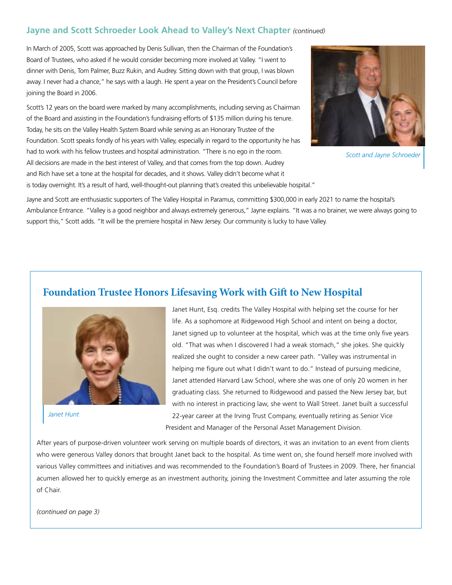### **Jayne and Scott Schroeder Look Ahead to Valley's Next Chapter** *(continued)*

In March of 2005, Scott was approached by Denis Sullivan, then the Chairman of the Foundation's Board of Trustees, who asked if he would consider becoming more involved at Valley. "I went to dinner with Denis, Tom Palmer, Buzz Rukin, and Audrey. Sitting down with that group, I was blown away. I never had a chance," he says with a laugh. He spent a year on the President's Council before joining the Board in 2006.

Scott's 12 years on the board were marked by many accomplishments, including serving as Chairman of the Board and assisting in the Foundation's fundraising efforts of \$135 million during his tenure. Today, he sits on the Valley Health System Board while serving as an Honorary Trustee of the Foundation. Scott speaks fondly of his years with Valley, especially in regard to the opportunity he has had to work with his fellow trustees and hospital administration. "There is no ego in the room. All decisions are made in the best interest of Valley, and that comes from the top down. Audrey and Rich have set a tone at the hospital for decades, and it shows. Valley didn't become what it is today overnight. It's a result of hard, well-thought-out planning that's created this unbelievable hospital."



*Scott and Jayne Schroeder*

Jayne and Scott are enthusiastic supporters of The Valley Hospital in Paramus, committing \$300,000 in early 2021 to name the hospital's Ambulance Entrance. "Valley is a good neighbor and always extremely generous," Jayne explains. "It was a no brainer, we were always going to support this," Scott adds. "It will be the premiere hospital in New Jersey. Our community is lucky to have Valley.

# **Foundation Trustee Honors Lifesaving Work with Gift to New Hospital**



*Janet Hunt*

Janet Hunt, Esq. credits The Valley Hospital with helping set the course for her life. As a sophomore at Ridgewood High School and intent on being a doctor, Janet signed up to volunteer at the hospital, which was at the time only five years old. "That was when I discovered I had a weak stomach," she jokes. She quickly realized she ought to consider a new career path. "Valley was instrumental in helping me figure out what I didn't want to do." Instead of pursuing medicine, Janet attended Harvard Law School, where she was one of only 20 women in her graduating class. She returned to Ridgewood and passed the New Jersey bar, but with no interest in practicing law, she went to Wall Street. Janet built a successful 22-year career at the Irving Trust Company, eventually retiring as Senior Vice President and Manager of the Personal Asset Management Division.

After years of purpose-driven volunteer work serving on multiple boards of directors, it was an invitation to an event from clients who were generous Valley donors that brought Janet back to the hospital. As time went on, she found herself more involved with various Valley committees and initiatives and was recommended to the Foundation's Board of Trustees in 2009. There, her financial acumen allowed her to quickly emerge as an investment authority, joining the Investment Committee and later assuming the role of Chair.

*(continued on page 3)*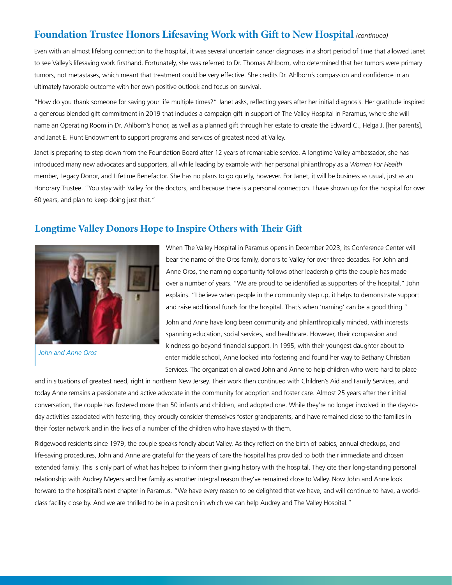# **Foundation Trustee Honors Lifesaving Work with Gift to New Hospital** *(continued)*

Even with an almost lifelong connection to the hospital, it was several uncertain cancer diagnoses in a short period of time that allowed Janet to see Valley's lifesaving work firsthand. Fortunately, she was referred to Dr. Thomas Ahlborn, who determined that her tumors were primary tumors, not metastases, which meant that treatment could be very effective. She credits Dr. Ahlborn's compassion and confidence in an ultimately favorable outcome with her own positive outlook and focus on survival.

"How do you thank someone for saving your life multiple times?" Janet asks, reflecting years after her initial diagnosis. Her gratitude inspired a generous blended gift commitment in 2019 that includes a campaign gift in support of The Valley Hospital in Paramus, where she will name an Operating Room in Dr. Ahlborn's honor, as well as a planned gift through her estate to create the Edward C., Helga J. [her parents], and Janet E. Hunt Endowment to support programs and services of greatest need at Valley.

Janet is preparing to step down from the Foundation Board after 12 years of remarkable service. A longtime Valley ambassador, she has introduced many new advocates and supporters, all while leading by example with her personal philanthropy as a *Women For Health* member, Legacy Donor, and Lifetime Benefactor. She has no plans to go quietly, however. For Janet, it will be business as usual, just as an Honorary Trustee. "You stay with Valley for the doctors, and because there is a personal connection. I have shown up for the hospital for over 60 years, and plan to keep doing just that."

## **Longtime Valley Donors Hope to Inspire Others with Their Gift**



*John and Anne Oros*

When The Valley Hospital in Paramus opens in December 2023, its Conference Center will bear the name of the Oros family, donors to Valley for over three decades. For John and Anne Oros, the naming opportunity follows other leadership gifts the couple has made over a number of years. "We are proud to be identified as supporters of the hospital," John explains. "I believe when people in the community step up, it helps to demonstrate support and raise additional funds for the hospital. That's when 'naming' can be a good thing."

John and Anne have long been community and philanthropically minded, with interests spanning education, social services, and healthcare. However, their compassion and kindness go beyond financial support. In 1995, with their youngest daughter about to enter middle school, Anne looked into fostering and found her way to Bethany Christian Services. The organization allowed John and Anne to help children who were hard to place

and in situations of greatest need, right in northern New Jersey. Their work then continued with Children's Aid and Family Services, and today Anne remains a passionate and active advocate in the community for adoption and foster care. Almost 25 years after their initial conversation, the couple has fostered more than 50 infants and children, and adopted one. While they're no longer involved in the day-today activities associated with fostering, they proudly consider themselves foster grandparents, and have remained close to the families in their foster network and in the lives of a number of the children who have stayed with them.

Ridgewood residents since 1979, the couple speaks fondly about Valley. As they reflect on the birth of babies, annual checkups, and life-saving procedures, John and Anne are grateful for the years of care the hospital has provided to both their immediate and chosen extended family. This is only part of what has helped to inform their giving history with the hospital. They cite their long-standing personal relationship with Audrey Meyers and her family as another integral reason they've remained close to Valley. Now John and Anne look forward to the hospital's next chapter in Paramus. "We have every reason to be delighted that we have, and will continue to have, a worldclass facility close by. And we are thrilled to be in a position in which we can help Audrey and The Valley Hospital."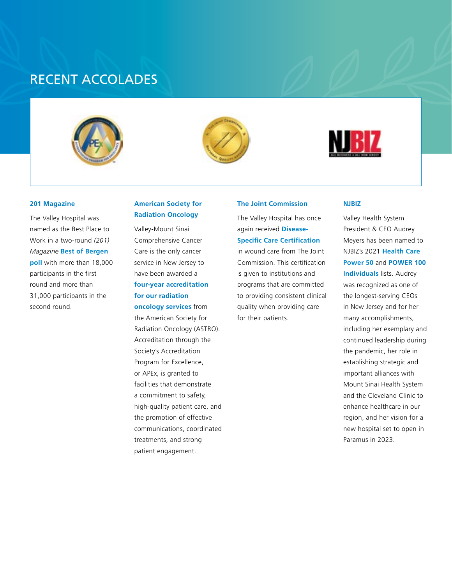# RECENT ACCOLADES







#### **201 Magazine**

The Valley Hospital was named as the Best Place to Work in a two-round *(201) Magazine* **Best of Bergen poll** with more than 18,000 participants in the first round and more than 31,000 participants in the second round.

#### **American Society for Radiation Oncology**

Valley-Mount Sinai Comprehensive Cancer Care is the only cancer service in New Jersey to have been awarded a **four-year accreditation for our radiation oncology services** from the American Society for Radiation Oncology (ASTRO). Accreditation through the Society's Accreditation Program for Excellence, or APEx, is granted to facilities that demonstrate a commitment to safety, high-quality patient care, and the promotion of effective communications, coordinated treatments, and strong patient engagement.

#### **The Joint Commission**

The Valley Hospital has once again received **Disease-Specific Care Certification** in wound care from The Joint Commission. This certification is given to institutions and programs that are committed to providing consistent clinical quality when providing care for their patients.

#### **NJBIZ**

Valley Health System President & CEO Audrey Meyers has been named to NJBIZ's 2021 **Health Care Power 50** and **POWER 100 Individuals** lists. Audrey was recognized as one of the longest-serving CEOs in New Jersey and for her many accomplishments, including her exemplary and continued leadership during the pandemic, her role in establishing strategic and important alliances with Mount Sinai Health System and the Cleveland Clinic to enhance healthcare in our region, and her vision for a new hospital set to open in Paramus in 2023.